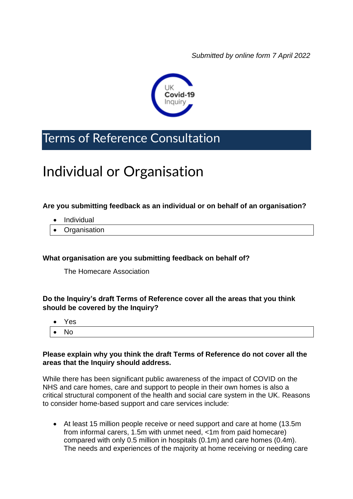*Submitted by online form 7 April 2022*



# Terms of Reference Consultation

# Individual or Organisation

# **Are you submitting feedback as an individual or on behalf of an organisation?**

- Individual
- Organisation

#### **What organisation are you submitting feedback on behalf of?**

The Homecare Association

# **Do the Inquiry's draft Terms of Reference cover all the areas that you think should be covered by the Inquiry?**

|              | $\bullet$ Yes |
|--------------|---------------|
| $\bullet$ No |               |

# **Please explain why you think the draft Terms of Reference do not cover all the areas that the Inquiry should address.**

While there has been significant public awareness of the impact of COVID on the NHS and care homes, care and support to people in their own homes is also a critical structural component of the health and social care system in the UK. Reasons to consider home-based support and care services include:

• At least 15 million people receive or need support and care at home (13.5m from informal carers, 1.5m with unmet need, <1m from paid homecare) compared with only 0.5 million in hospitals (0.1m) and care homes (0.4m). The needs and experiences of the majority at home receiving or needing care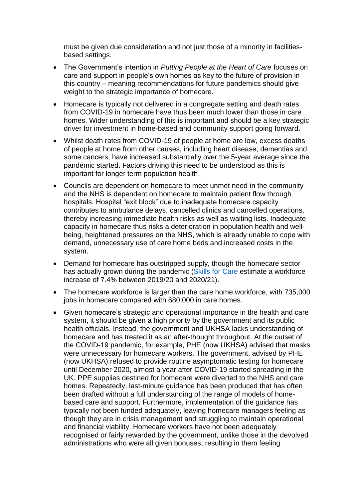must be given due consideration and not just those of a minority in facilitiesbased settings.

- The Government's intention in *Putting People at the Heart of Care* focuses on care and support in people's own homes as key to the future of provision in this country – meaning recommendations for future pandemics should give weight to the strategic importance of homecare.
- Homecare is typically not delivered in a congregate setting and death rates from COVID-19 in homecare have thus been much lower than those in care homes. Wider understanding of this is important and should be a key strategic driver for investment in home-based and community support going forward.
- Whilst death rates from COVID-19 of people at home are low, excess deaths of people at home from other causes, including heart disease, dementias and some cancers, have increased substantially over the 5-year average since the pandemic started. Factors driving this need to be understood as this is important for longer term population health.
- Councils are dependent on homecare to meet unmet need in the community and the NHS is dependent on homecare to maintain patient flow through hospitals. Hospital "exit block" due to inadequate homecare capacity contributes to ambulance delays, cancelled clinics and cancelled operations, thereby increasing immediate health risks as well as waiting lists. Inadequate capacity in homecare thus risks a deterioration in population health and wellbeing, heightened pressures on the NHS, which is already unable to cope with demand, unnecessary use of care home beds and increased costs in the system.
- Demand for homecare has outstripped supply, though the homecare sector has actually grown during the pandemic [\(Skills for Care](https://www.skillsforcare.org.uk/Adult-Social-Care-Workforce-Data/Workforce-intelligence/publications/national-information/The-state-of-the-adult-social-care-sector-and-workforce-in-England.aspx) estimate a workforce increase of 7.4% between 2019/20 and 2020/21).
- The homecare workforce is larger than the care home workforce, with 735,000 jobs in homecare compared with 680,000 in care homes.
- Given homecare's strategic and operational importance in the health and care system, it should be given a high priority by the government and its public health officials. Instead, the government and UKHSA lacks understanding of homecare and has treated it as an after-thought throughout. At the outset of the COVID-19 pandemic, for example, PHE (now UKHSA) advised that masks were unnecessary for homecare workers. The government, advised by PHE (now UKHSA) refused to provide routine asymptomatic testing for homecare until December 2020, almost a year after COVID-19 started spreading in the UK. PPE supplies destined for homecare were diverted to the NHS and care homes. Repeatedly, last-minute guidance has been produced that has often been drafted without a full understanding of the range of models of homebased care and support. Furthermore, implementation of the guidance has typically not been funded adequately, leaving homecare managers feeling as though they are in crisis management and struggling to maintain operational and financial viability. Homecare workers have not been adequately recognised or fairly rewarded by the government, unlike those in the devolved administrations who were all given bonuses, resulting in them feeling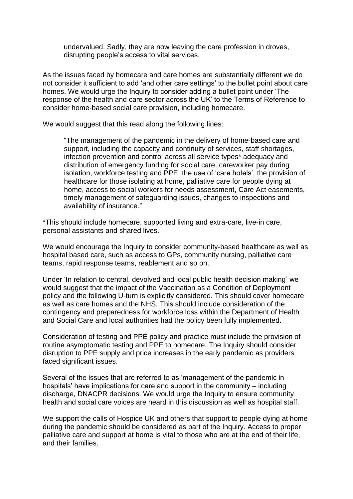undervalued. Sadly, they are now leaving the care profession in droves, disrupting people's access to vital services.

As the issues faced by homecare and care homes are substantially different we do not consider it sufficient to add 'and other care settings' to the bullet point about care homes. We would urge the Inquiry to consider adding a bullet point under 'The response of the health and care sector across the UK' to the Terms of Reference to consider home-based social care provision, including homecare.

We would suggest that this read along the following lines:

"The management of the pandemic in the delivery of home-based care and support, including the capacity and continuity of services, staff shortages, infection prevention and control across all service types\* adequacy and distribution of emergency funding for social care, careworker pay during isolation, workforce testing and PPE, the use of 'care hotels', the provision of healthcare for those isolating at home, palliative care for people dying at home, access to social workers for needs assessment, Care Act easements, timely management of safeguarding issues, changes to inspections and availability of insurance."

\*This should include homecare, supported living and extra-care, live-in care, personal assistants and shared lives.

We would encourage the Inquiry to consider community-based healthcare as well as hospital based care, such as access to GPs, community nursing, palliative care teams, rapid response teams, reablement and so on.

Under 'In relation to central, devolved and local public health decision making' we would suggest that the impact of the Vaccination as a Condition of Deployment policy and the following U-turn is explicitly considered. This should cover homecare as well as care homes and the NHS. This should include consideration of the contingency and preparedness for workforce loss within the Department of Health and Social Care and local authorities had the policy been fully implemented.

Consideration of testing and PPE policy and practice must include the provision of routine asymptomatic testing and PPE to homecare. The Inquiry should consider disruption to PPE supply and price increases in the early pandemic as providers faced significant issues.

Several of the issues that are referred to as 'management of the pandemic in hospitals' have implications for care and support in the community – including discharge, DNACPR decisions. We would urge the Inquiry to ensure community health and social care voices are heard in this discussion as well as hospital staff.

We support the calls of Hospice UK and others that support to people dying at home during the pandemic should be considered as part of the Inquiry. Access to proper palliative care and support at home is vital to those who are at the end of their life, and their families.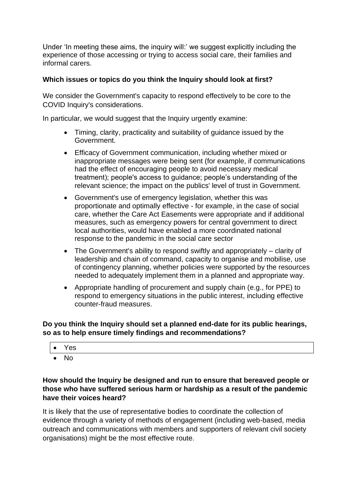Under 'In meeting these aims, the inquiry will:' we suggest explicitly including the experience of those accessing or trying to access social care, their families and informal carers.

# **Which issues or topics do you think the Inquiry should look at first?**

We consider the Government's capacity to respond effectively to be core to the COVID Inquiry's considerations.

In particular, we would suggest that the Inquiry urgently examine:

- Timing, clarity, practicality and suitability of guidance issued by the Government.
- Efficacy of Government communication, including whether mixed or inappropriate messages were being sent (for example, if communications had the effect of encouraging people to avoid necessary medical treatment); people's access to guidance; people's understanding of the relevant science; the impact on the publics' level of trust in Government.
- Government's use of emergency legislation, whether this was proportionate and optimally effective - for example, in the case of social care, whether the Care Act Easements were appropriate and if additional measures, such as emergency powers for central government to direct local authorities, would have enabled a more coordinated national response to the pandemic in the social care sector
- The Government's ability to respond swiftly and appropriately clarity of leadership and chain of command, capacity to organise and mobilise, use of contingency planning, whether policies were supported by the resources needed to adequately implement them in a planned and appropriate way.
- Appropriate handling of procurement and supply chain (e.g., for PPE) to respond to emergency situations in the public interest, including effective counter-fraud measures.

**Do you think the Inquiry should set a planned end-date for its public hearings, so as to help ensure timely findings and recommendations?**

- Yes
- No

# **How should the Inquiry be designed and run to ensure that bereaved people or those who have suffered serious harm or hardship as a result of the pandemic have their voices heard?**

It is likely that the use of representative bodies to coordinate the collection of evidence through a variety of methods of engagement (including web-based, media outreach and communications with members and supporters of relevant civil society organisations) might be the most effective route.